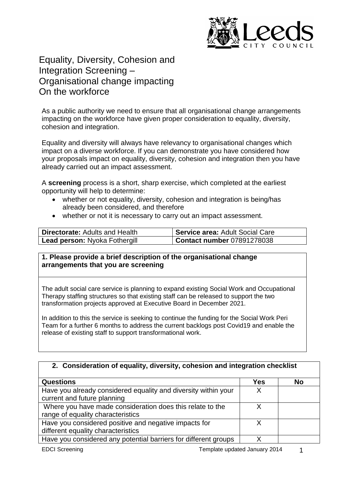

# Equality, Diversity, Cohesion and Integration Screening – Organisational change impacting On the workforce

As a public authority we need to ensure that all organisational change arrangements impacting on the workforce have given proper consideration to equality, diversity, cohesion and integration.

Equality and diversity will always have relevancy to organisational changes which impact on a diverse workforce. If you can demonstrate you have considered how your proposals impact on equality, diversity, cohesion and integration then you have already carried out an impact assessment.

A **screening** process is a short, sharp exercise, which completed at the earliest opportunity will help to determine:

- whether or not equality, diversity, cohesion and integration is being/has already been considered, and therefore
- whether or not it is necessary to carry out an impact assessment.

| <b>Directorate:</b> Adults and Health | Service area: Adult Social Care   |
|---------------------------------------|-----------------------------------|
| <b>Lead person: Nyoka Fothergill</b>  | <b>Contact number 07891278038</b> |

### **1. Please provide a brief description of the organisational change arrangements that you are screening**

The adult social care service is planning to expand existing Social Work and Occupational Therapy staffing structures so that existing staff can be released to support the two transformation projects approved at Executive Board in December 2021.

In addition to this the service is seeking to continue the funding for the Social Work Peri Team for a further 6 months to address the current backlogs post Covid19 and enable the release of existing staff to support transformational work.

### **2. Consideration of equality, diversity, cohesion and integration checklist**

| <b>Questions</b>                                                | <b>Yes</b> | <b>No</b> |
|-----------------------------------------------------------------|------------|-----------|
| Have you already considered equality and diversity within your  | X          |           |
| current and future planning                                     |            |           |
| Where you have made consideration does this relate to the       |            |           |
| range of equality characteristics                               |            |           |
| Have you considered positive and negative impacts for           |            |           |
| different equality characteristics                              |            |           |
| Have you considered any potential barriers for different groups |            |           |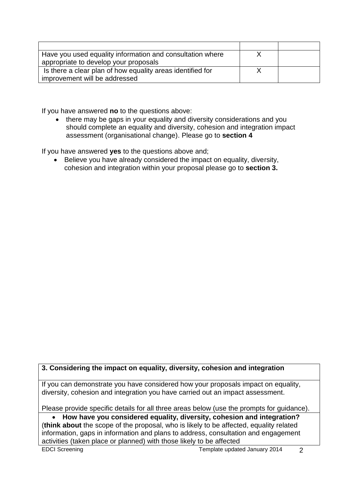| Have you used equality information and consultation where  |  |
|------------------------------------------------------------|--|
| appropriate to develop your proposals                      |  |
| Is there a clear plan of how equality areas identified for |  |
| improvement will be addressed                              |  |

If you have answered **no** to the questions above:

• there may be gaps in your equality and diversity considerations and you should complete an equality and diversity, cohesion and integration impact assessment (organisational change). Please go to **section 4**

If you have answered **yes** to the questions above and;

 Believe you have already considered the impact on equality, diversity, cohesion and integration within your proposal please go to **section 3.**

## **3. Considering the impact on equality, diversity, cohesion and integration**

If you can demonstrate you have considered how your proposals impact on equality, diversity, cohesion and integration you have carried out an impact assessment.

Please provide specific details for all three areas below (use the prompts for guidance).

 **How have you considered equality, diversity, cohesion and integration?** (**think about** the scope of the proposal, who is likely to be affected, equality related information, gaps in information and plans to address, consultation and engagement activities (taken place or planned) with those likely to be affected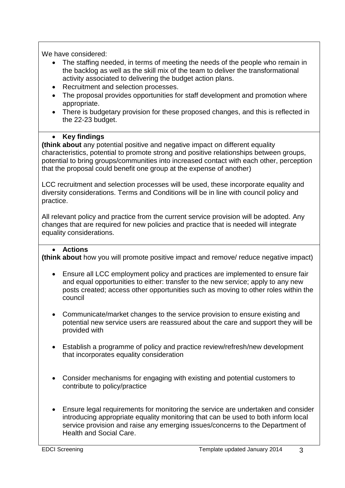We have considered:

- The staffing needed, in terms of meeting the needs of the people who remain in the backlog as well as the skill mix of the team to deliver the transformational activity associated to delivering the budget action plans.
- Recruitment and selection processes.
- The proposal provides opportunities for staff development and promotion where appropriate.
- There is budgetary provision for these proposed changes, and this is reflected in the 22-23 budget.

# **•** Key findings

**(think about** any potential positive and negative impact on different equality characteristics, potential to promote strong and positive relationships between groups, potential to bring groups/communities into increased contact with each other, perception that the proposal could benefit one group at the expense of another)

LCC recruitment and selection processes will be used, these incorporate equality and diversity considerations. Terms and Conditions will be in line with council policy and practice.

All relevant policy and practice from the current service provision will be adopted. Any changes that are required for new policies and practice that is needed will integrate equality considerations.

# **Actions**

**(think about** how you will promote positive impact and remove/ reduce negative impact)

- Ensure all LCC employment policy and practices are implemented to ensure fair and equal opportunities to either: transfer to the new service; apply to any new posts created; access other opportunities such as moving to other roles within the council
- Communicate/market changes to the service provision to ensure existing and potential new service users are reassured about the care and support they will be provided with
- Establish a programme of policy and practice review/refresh/new development that incorporates equality consideration
- Consider mechanisms for engaging with existing and potential customers to contribute to policy/practice
- Ensure legal requirements for monitoring the service are undertaken and consider introducing appropriate equality monitoring that can be used to both inform local service provision and raise any emerging issues/concerns to the Department of Health and Social Care.